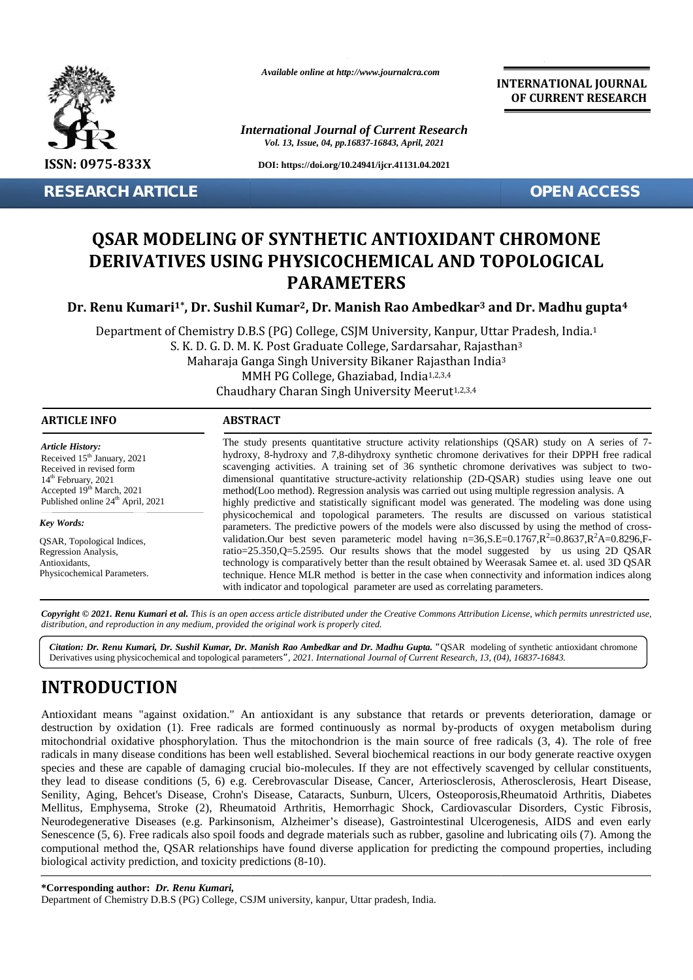

*Available online at http://www.journalcra.com*

*International Journal of Current Research Vol. 13, Issue, 04, pp.16837-16843, April, 2021*

**INTERNATIONAL JOURNAL OF CURRENT RESEARCH**

# **QSAR MODELING OF SYNTHETIC ANTIOXIDANT CHROMONE DERIVATIVES USING PHYSICOCHEMICAL AND TOPOLOGICAL DERIVATIVES PARAMETERS**

| ISSN: 0975-833X                                                                                                                                                                                                                                                                                                                            | DOI: https://doi.org/10.24941/ijcr.41131.04.2021                                                                                                                                                                                                                                                                                                                                                                                                                                                                                                                                                                                                                                                                                                                                                                                                                                                                                                                                                                                                                                                                                                                                                                                                                                                                                                                                                                                                        |  |
|--------------------------------------------------------------------------------------------------------------------------------------------------------------------------------------------------------------------------------------------------------------------------------------------------------------------------------------------|---------------------------------------------------------------------------------------------------------------------------------------------------------------------------------------------------------------------------------------------------------------------------------------------------------------------------------------------------------------------------------------------------------------------------------------------------------------------------------------------------------------------------------------------------------------------------------------------------------------------------------------------------------------------------------------------------------------------------------------------------------------------------------------------------------------------------------------------------------------------------------------------------------------------------------------------------------------------------------------------------------------------------------------------------------------------------------------------------------------------------------------------------------------------------------------------------------------------------------------------------------------------------------------------------------------------------------------------------------------------------------------------------------------------------------------------------------|--|
| <b>RESEARCH ARTICLE</b>                                                                                                                                                                                                                                                                                                                    | <b>OPEN ACCESS</b>                                                                                                                                                                                                                                                                                                                                                                                                                                                                                                                                                                                                                                                                                                                                                                                                                                                                                                                                                                                                                                                                                                                                                                                                                                                                                                                                                                                                                                      |  |
|                                                                                                                                                                                                                                                                                                                                            | <b>QSAR MODELING OF SYNTHETIC ANTIOXIDANT CHROMONE</b><br>DERIVATIVES USING PHYSICOCHEMICAL AND TOPOLOGICAL<br><b>PARAMETERS</b>                                                                                                                                                                                                                                                                                                                                                                                                                                                                                                                                                                                                                                                                                                                                                                                                                                                                                                                                                                                                                                                                                                                                                                                                                                                                                                                        |  |
|                                                                                                                                                                                                                                                                                                                                            | Dr. Renu Kumari <sup>1*</sup> , Dr. Sushil Kumar <sup>2</sup> , Dr. Manish Rao Ambedkar <sup>3</sup> and Dr. Madhu gupta <sup>4</sup>                                                                                                                                                                                                                                                                                                                                                                                                                                                                                                                                                                                                                                                                                                                                                                                                                                                                                                                                                                                                                                                                                                                                                                                                                                                                                                                   |  |
|                                                                                                                                                                                                                                                                                                                                            | Department of Chemistry D.B.S (PG) College, CSJM University, Kanpur, Uttar Pradesh, India.1<br>S. K. D. G. D. M. K. Post Graduate College, Sardarsahar, Rajasthan <sup>3</sup><br>Maharaja Ganga Singh University Bikaner Rajasthan India <sup>3</sup><br>MMH PG College, Ghaziabad, India <sup>1,2,3,4</sup><br>Chaudhary Charan Singh University Meerut <sup>1,2,3,4</sup>                                                                                                                                                                                                                                                                                                                                                                                                                                                                                                                                                                                                                                                                                                                                                                                                                                                                                                                                                                                                                                                                            |  |
| <b>ARTICLE INFO</b>                                                                                                                                                                                                                                                                                                                        | <b>ABSTRACT</b>                                                                                                                                                                                                                                                                                                                                                                                                                                                                                                                                                                                                                                                                                                                                                                                                                                                                                                                                                                                                                                                                                                                                                                                                                                                                                                                                                                                                                                         |  |
| <b>Article History:</b><br>Received 15 <sup>th</sup> January, 2021<br>Received in revised form<br>14 <sup>th</sup> February, 2021<br>Accepted 19th March, 2021<br>Published online 24 <sup>th</sup> April, 2021<br><b>Key Words:</b><br>QSAR, Topological Indices,<br>Regression Analysis,<br>Antioxidants,<br>Physicochemical Parameters. | The study presents quantitative structure activity relationships (QSAR) study on A series of 7-<br>hydroxy, 8-hydroxy and 7,8-dihydroxy synthetic chromone derivatives for their DPPH free radical<br>scavenging activities. A training set of 36 synthetic chromone derivatives was subject to two-<br>dimensional quantitative structure-activity relationship (2D-QSAR) studies using leave one out<br>method(Loo method). Regression analysis was carried out using multiple regression analysis. A<br>highly predictive and statistically significant model was generated. The modeling was done using<br>physicochemical and topological parameters. The results are discussed on various statistical<br>parameters. The predictive powers of the models were also discussed by using the method of cross-<br>validation.Our best seven parameteric model having $n=36$ , $S.E=0.1767$ , $R^2=0.8637$ , $R^2A=0.8296$ , F-<br>ratio=25.350,Q=5.2595. Our results shows that the model suggested by us using 2D QSAR<br>technology is comparatively better than the result obtained by Weerasak Samee et. al. used 3D QSAR<br>technique. Hence MLR method is better in the case when connectivity and information indices along<br>with indicator and topological parameter are used as correlating parameters.                                                                                                                                    |  |
|                                                                                                                                                                                                                                                                                                                                            | Copyright © 2021. Renu Kumari et al. This is an open access article distributed under the Creative Commons Attribution License, which permits unrestricted use,<br>distribution, and reproduction in any medium, provided the original work is properly cited.                                                                                                                                                                                                                                                                                                                                                                                                                                                                                                                                                                                                                                                                                                                                                                                                                                                                                                                                                                                                                                                                                                                                                                                          |  |
|                                                                                                                                                                                                                                                                                                                                            | Citation: Dr. Renu Kumari, Dr. Sushil Kumar, Dr. Manish Rao Ambedkar and Dr. Madhu Gupta. "QSAR modeling of synthetic antioxidant chromone<br>Derivatives using physicochemical and topological parameters", 2021. International Journal of Current Research, 13, (04), 16837-16843.                                                                                                                                                                                                                                                                                                                                                                                                                                                                                                                                                                                                                                                                                                                                                                                                                                                                                                                                                                                                                                                                                                                                                                    |  |
| <b>INTRODUCTION</b><br>biological activity prediction, and toxicity predictions (8-10).                                                                                                                                                                                                                                                    | Antioxidant means "against oxidation." An antioxidant is any substance that retards or prevents deterioration, damage or<br>destruction by oxidation (1). Free radicals are formed continuously as normal by-products of oxygen metabolism during<br>mitochondrial oxidative phosphorylation. Thus the mitochondrion is the main source of free radicals (3, 4). The role of free<br>radicals in many disease conditions has been well established. Several biochemical reactions in our body generate reactive oxygen<br>species and these are capable of damaging crucial bio-molecules. If they are not effectively scavenged by cellular constituents,<br>they lead to disease conditions (5, 6) e.g. Cerebrovascular Disease, Cancer, Arteriosclerosis, Atherosclerosis, Heart Disease,<br>Senility, Aging, Behcet's Disease, Crohn's Disease, Cataracts, Sunburn, Ulcers, Osteoporosis, Rheumatoid Arthritis, Diabetes<br>Mellitus, Emphysema, Stroke (2), Rheumatoid Arthritis, Hemorrhagic Shock, Cardiovascular Disorders, Cystic Fibrosis,<br>Neurodegenerative Diseases (e.g. Parkinsonism, Alzheimer's disease), Gastrointestinal Ulcerogenesis, AIDS and even early<br>Senescence (5, 6). Free radicals also spoil foods and degrade materials such as rubber, gasoline and lubricating oils (7). Among the<br>computional method the, QSAR relationships have found diverse application for predicting the compound properties, including |  |
| *Corresponding author: Dr. Renu Kumari,                                                                                                                                                                                                                                                                                                    | Department of Chemistry D.B.S (PG) College, CSJM university, kanpur, Uttar pradesh, India.                                                                                                                                                                                                                                                                                                                                                                                                                                                                                                                                                                                                                                                                                                                                                                                                                                                                                                                                                                                                                                                                                                                                                                                                                                                                                                                                                              |  |

# **INTRODUCTION INTRODUCTION**

Department of Chemistry D.B.S (PG) College, CSJM university, kanpur, Uttar pradesh, India.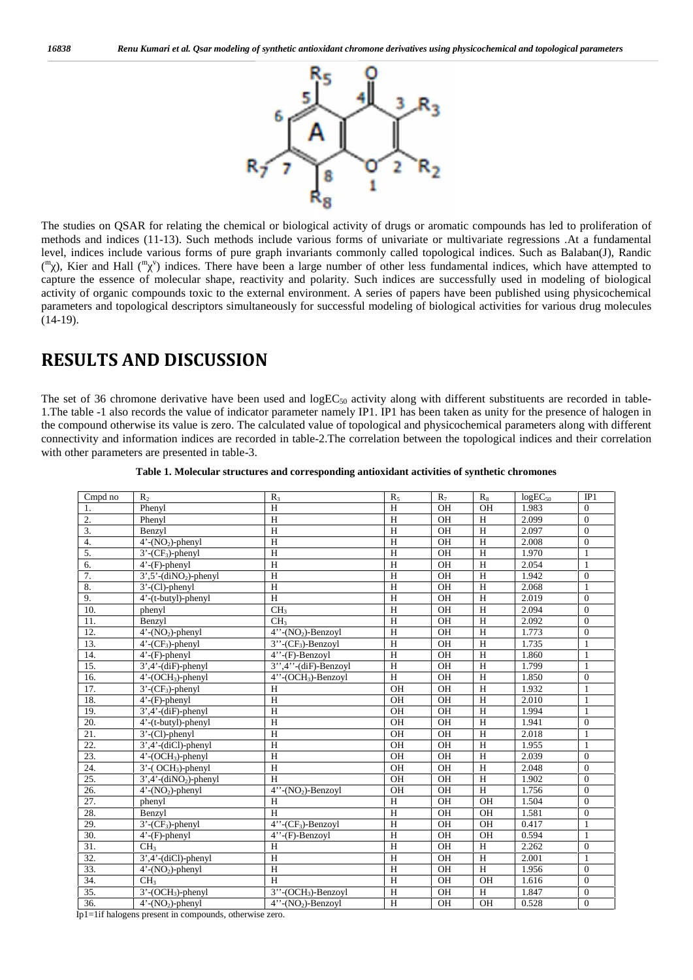

The studies on QSAR for relating the chemical or biological activity of drugs or aromatic compounds has led to proliferation of methods and indices (11-13). Such methods include various forms of univariate or multivariate regressions .At a fundamental level, indices include various forms of pure graph invariants commonly called topological indices. Such as Balaban(J), Randic (m), Kier and Hall (m<sup>v</sup>) indices. There have been a large number of other less fundamental indices, which have attempted to capture the essence of molecular shape, reactivity and polarity. Such indices are successfully used in modeling of biological activity of organic compounds toxic to the external environment. A series of papers have been published using physicochemical parameters and topological descriptors simultaneously for successful modeling of biological activities for various drug molecules  $(14-19)$ .

## **RESULTS AND DISCUSSION**

The set of 36 chromone derivative have been used and  $logEC<sub>50</sub>$  activity along with different substituents are recorded in table-1.The table -1 also records the value of indicator parameter namely IP1. IP1 has been taken as unity for the presence of halogen in the compound otherwise its value is zero. The calculated value of topological and physicochemical parameters along with different connectivity and information indices are recorded in table-2.The correlation between the topological indices and their correlation with other parameters are presented in table-3.

| Cmpd no | R <sub>2</sub>                        | $R_3$                              | $R_5$          | $R_7$     | $R_8$          | $\overline{\log}EC_{50}$ | IP1          |
|---------|---------------------------------------|------------------------------------|----------------|-----------|----------------|--------------------------|--------------|
| 1.      | Phenyl                                | H                                  | H              | OH        | OH             | 1.983                    | $\mathbf{0}$ |
| 2.      | Phenyl                                | H                                  | H              | <b>OH</b> | H              | 2.099                    | $\mathbf{0}$ |
| 3.      | Benzyl                                | H                                  | H              | OH        | H              | 2.097                    | $\mathbf{0}$ |
| 4.      | $4'$ -(NO <sub>2</sub> )-phenyl       | H                                  | H              | OH        | H              | 2.008                    | $\mathbf{0}$ |
| 5.      | $3'$ -(CF <sub>3</sub> )-phenyl       | H                                  | H              | <b>OH</b> | H              | 1.970                    | 1            |
| 6.      | $4'$ - $(F)$ -phenyl                  | H                                  | H              | OH        | H              | 2.054                    | $\mathbf{1}$ |
| 7.      | $3', 5'$ -(diNO <sub>2</sub> )-phenyl | H                                  | H              | OH        | H              | 1.942                    | $\Omega$     |
| 8.      | $3'$ -(Cl)-phenyl                     | H                                  | H              | OH        | H              | 2.068                    | 1            |
| 9.      | 4'-(t-butyl)-phenyl                   | H                                  | $\rm H$        | OH        | H              | 2.019                    | $\Omega$     |
| 10.     | phenyl                                | CH <sub>3</sub>                    | $\rm H$        | OH        | H              | 2.094                    | $\mathbf{0}$ |
| 11.     | Benzyl                                | CH <sub>3</sub>                    | $\rm H$        | OH        | H              | 2.092                    | $\mathbf{0}$ |
| 12.     | $4'$ -(NO <sub>2</sub> )-phenyl       | $4''$ -(NO <sub>2</sub> )-Benzoyl  | $\mathbf H$    | OH        | H              | 1.773                    | $\mathbf{0}$ |
| 13.     | $4'$ - $(CF_3)$ -phenyl               | $3''$ - $CF_3$ -Benzoyl            | H              | OH        | H              | 1.735                    | 1            |
| 14.     | $4'$ - $(F)$ -phenyl                  | $4''$ -(F)-Benzoyl                 | $\overline{H}$ | OH        | $\overline{H}$ | 1.860                    | $\mathbf{1}$ |
| 15.     | $3',4'$ -(diF)-phenyl                 | $3''$ , $4''$ -(diF)-Benzoyl       | $\rm H$        | OH        | H              | 1.799                    | $\mathbf{1}$ |
| 16.     | $4'$ -(OCH <sub>3</sub> )-phenyl      | $4''$ -(OCH <sub>3</sub> )-Benzoyl | $\mathbf H$    | OH        | H              | 1.850                    | $\mathbf{0}$ |
| 17.     | $3'$ -(CF <sub>3</sub> )-phenyl       | H                                  | OH             | OH        | H              | 1.932                    | $\mathbf{1}$ |
| 18.     | $4'$ - $(F)$ -phenyl                  | H                                  | OH             | OH        | H              | 2.010                    | $\mathbf{1}$ |
| 19.     | $3',4'$ -(diF)-phenyl                 | H                                  | OH             | OH        | H              | 1.994                    | 1            |
| 20.     | 4'-(t-butyl)-phenyl                   | H                                  | OH             | OH        | H              | 1.941                    | $\mathbf{0}$ |
| 21.     | 3'-(Cl)-phenyl                        | H                                  | OH             | OH        | H              | 2.018                    | 1            |
| 22.     | $3',4'$ -(diCl)-phenyl                | H                                  | OH             | OH        | H              | 1.955                    | 1            |
| 23.     | $4'$ -(OCH <sub>3</sub> )-phenyl      | H                                  | OH             | OH        | H              | 2.039                    | $\theta$     |
| 24.     | $3'$ -(OCH <sub>3</sub> )-phenyl      | H                                  | OH             | OH        | H              | 2.048                    | $\Omega$     |
| 25.     | $3', 4'$ -(diNO <sub>2</sub> )-phenyl | H                                  | OH             | OH        | H              | 1.902                    | $\Omega$     |
| 26.     | $4'$ -(NO <sub>2</sub> )-phenyl       | $4''$ -(NO <sub>2</sub> )-Benzoyl  | OH             | OH        | $\overline{H}$ | 1.756                    | $\mathbf{0}$ |
| 27.     | phenyl                                | H                                  | $\mathbf H$    | OH        | OH             | 1.504                    | $\mathbf{0}$ |
| 28.     | Benzyl                                | H                                  | $\overline{H}$ | OH        | OH             | 1.581                    | $\theta$     |
| 29.     | $3'-$ ( $CF_3$ )-phenyl               | $4''$ -(CF <sub>3</sub> )-Benzoyl  | H              | OH        | OH             | 0.417                    | $\mathbf{1}$ |
| 30.     | $4'$ - $(F)$ -phenyl                  | $4''$ -(F)-Benzoyl                 | $\overline{H}$ | OH        | OH             | 0.594                    | 1            |
| 31.     | CH <sub>3</sub>                       | H                                  | $\rm H$        | OH        | H              | 2.262                    | $\mathbf{0}$ |
| 32.     | $3', 4'$ -(diCl)-phenyl               | H                                  | $\rm H$        | OH        | H              | 2.001                    | $\mathbf{1}$ |
| 33.     | $4'$ -(NO <sub>2</sub> )-phenyl       | H                                  | H              | OH        | H              | 1.956                    | $\mathbf{0}$ |
| 34.     | CH <sub>3</sub>                       | H                                  | $\rm H$        | OH        | OH             | 1.616                    | $\Omega$     |
| 35.     | $3'$ -(OCH <sub>3</sub> )-phenyl      | $3''$ -(OCH <sub>3</sub> )-Benzoyl | $\rm H$        | OH        | H              | 1.847                    | $\theta$     |
| 36.     | $4'$ -(NO <sub>2</sub> )-phenyl       | $4''$ -(NO <sub>2</sub> )-Benzoyl  | $\mathbf H$    | OH        | OH             | 0.528                    | $\Omega$     |

| Table 1. Molecular structures and corresponding antioxidant activities of synthetic chromones |  |
|-----------------------------------------------------------------------------------------------|--|
|                                                                                               |  |

Ip1=1if halogens present in compounds, otherwise zero.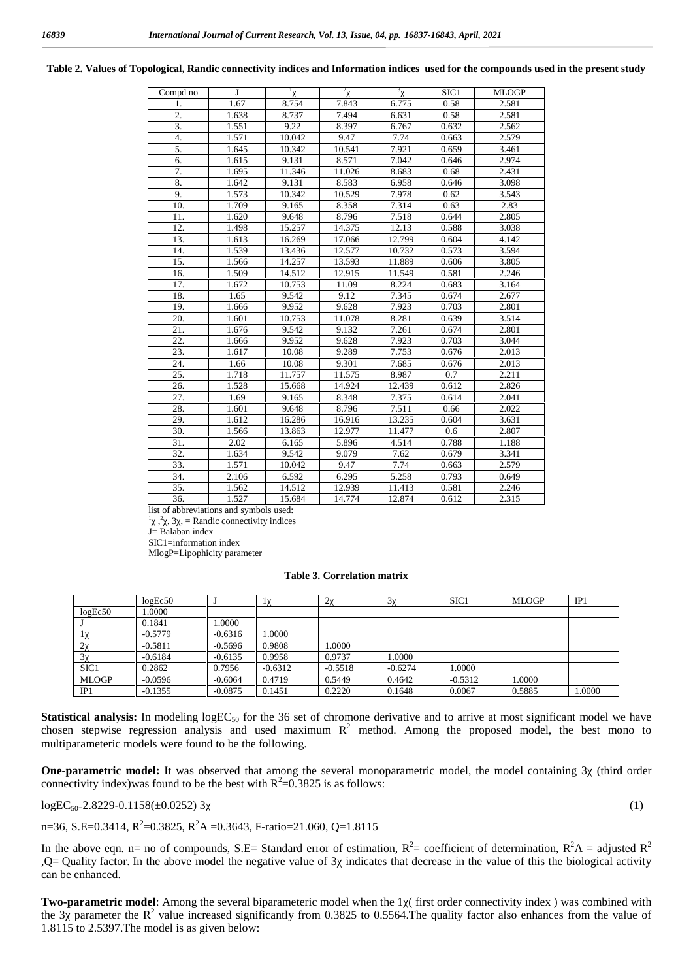| Compd no         | $\bf{J}$ | $\mathbf{1}$ | 2      | 3      | SIC <sub>1</sub> | <b>MLOGP</b> |
|------------------|----------|--------------|--------|--------|------------------|--------------|
| 1.               | 1.67     | 8.754        | 7.843  | 6.775  | 0.58             | 2.581        |
| 2.               | 1.638    | 8.737        | 7.494  | 6.631  | 0.58             | 2.581        |
| $\overline{3}$ . | 1.551    | 9.22         | 8.397  | 6.767  | 0.632            | 2.562        |
| $\overline{4}$ . | 1.571    | 10.042       | 9.47   | 7.74   | 0.663            | 2.579        |
| 5.               | 1.645    | 10.342       | 10.541 | 7.921  | 0.659            | 3.461        |
| 6.               | 1.615    | 9.131        | 8.571  | 7.042  | 0.646            | 2.974        |
| 7.               | 1.695    | 11.346       | 11.026 | 8.683  | 0.68             | 2.431        |
| 8.               | 1.642    | 9.131        | 8.583  | 6.958  | 0.646            | 3.098        |
| 9.               | 1.573    | 10.342       | 10.529 | 7.978  | 0.62             | 3.543        |
| 10.              | 1.709    | 9.165        | 8.358  | 7.314  | 0.63             | 2.83         |
| 11.              | 1.620    | 9.648        | 8.796  | 7.518  | 0.644            | 2.805        |
| 12.              | 1.498    | 15.257       | 14.375 | 12.13  | 0.588            | 3.038        |
| 13.              | 1.613    | 16.269       | 17.066 | 12.799 | 0.604            | 4.142        |
| 14.              | 1.539    | 13.436       | 12.577 | 10.732 | 0.573            | 3.594        |
| 15.              | 1.566    | 14.257       | 13.593 | 11.889 | 0.606            | 3.805        |
| 16.              | 1.509    | 14.512       | 12.915 | 11.549 | 0.581            | 2.246        |
| 17.              | 1.672    | 10.753       | 11.09  | 8.224  | 0.683            | 3.164        |
| 18.              | 1.65     | 9.542        | 9.12   | 7.345  | 0.674            | 2.677        |
| 19.              | 1.666    | 9.952        | 9.628  | 7.923  | 0.703            | 2.801        |
| 20.              | 1.601    | 10.753       | 11.078 | 8.281  | 0.639            | 3.514        |
| 21.              | 1.676    | 9.542        | 9.132  | 7.261  | 0.674            | 2.801        |
| 22.              | 1.666    | 9.952        | 9.628  | 7.923  | 0.703            | 3.044        |
| 23.              | 1.617    | 10.08        | 9.289  | 7.753  | 0.676            | 2.013        |
| 24.              | 1.66     | 10.08        | 9.301  | 7.685  | 0.676            | 2.013        |
| 25.              | 1.718    | 11.757       | 11.575 | 8.987  | 0.7              | 2.211        |
| 26.              | 1.528    | 15.668       | 14.924 | 12.439 | 0.612            | 2.826        |
| 27.              | 1.69     | 9.165        | 8.348  | 7.375  | 0.614            | 2.041        |
| 28.              | 1.601    | 9.648        | 8.796  | 7.511  | 0.66             | 2.022        |
| 29.              | 1.612    | 16.286       | 16.916 | 13.235 | 0.604            | 3.631        |
| 30.              | 1.566    | 13.863       | 12.977 | 11.477 | 0.6              | 2.807        |
| 31.              | 2.02     | 6.165        | 5.896  | 4.514  | 0.788            | 1.188        |
| 32.              | 1.634    | 9.542        | 9.079  | 7.62   | 0.679            | 3.341        |
| 33.              | 1.571    | 10.042       | 9.47   | 7.74   | 0.663            | 2.579        |
| 34.              | 2.106    | 6.592        | 6.295  | 5.258  | 0.793            | 0.649        |
| 35.              | 1.562    | 14.512       | 12.939 | 11.413 | 0.581            | 2.246        |
| 36.              | 1.527    | 15.684       | 14.774 | 12.874 | 0.612            | 2.315        |

#### **Table 2. Values of Topological, Randic connectivity indices and Information indices used for the compounds used in the present study**

list of abbreviations and symbols used:

 $2^{2}$ , 3, = Randic connectivity indices

J= Balaban index SIC1=information index

MlogP=Lipophicity parameter

#### **Table 3. Correlation matrix**

|                  | logEc50   |           |           |           |           | SIC <sub>1</sub> | <b>MLOGP</b> | IP1    |
|------------------|-----------|-----------|-----------|-----------|-----------|------------------|--------------|--------|
| logEc50          | .0000     |           |           |           |           |                  |              |        |
|                  | 0.1841    | .0000     |           |           |           |                  |              |        |
|                  | $-0.5779$ | $-0.6316$ | .0000     |           |           |                  |              |        |
|                  | $-0.5811$ | $-0.5696$ | 0.9808    | .0000     |           |                  |              |        |
|                  | $-0.6184$ | $-0.6135$ | 0.9958    | 0.9737    | .0000     |                  |              |        |
| SIC <sub>1</sub> | 0.2862    | 0.7956    | $-0.6312$ | $-0.5518$ | $-0.6274$ | 1.0000           |              |        |
| <b>MLOGP</b>     | $-0.0596$ | $-0.6064$ | 0.4719    | 0.5449    | 0.4642    | $-0.5312$        | 1.0000       |        |
| IP1              | $-0.1355$ | $-0.0875$ | 0.1451    | 0.2220    | 0.1648    | 0.0067           | 0.5885       | 1.0000 |

**Statistical analysis:** In modeling  $logEC_{50}$  for the 36 set of chromone derivative and to arrive at most significant model we have chosen stepwise regression analysis and used maximum  $R^2$  method. Among the proposed model, the best mono to multiparameteric models were found to be the following.

**One-parametric model:** It was observed that among the several monoparametric model, the model containing 3 (third order connectivity index)was found to be the best with  $R^2$ =0.3825 is as follows:

 $logEC<sub>50=2.8229-0.1158(\pm 0.0252)</sub>$  3 (1)

n=36, S.E=0.3414, R<sup>2</sup>=0.3825, R<sup>2</sup>A =0.3643, F-ratio=21.060, Q=1.8115

In the above eqn. n= no of compounds, S.E= Standard error of estimation,  $R^2$ = coefficient of determination,  $R^2A$  = adjusted  $R^2$  $,Q =$ Quality factor. In the above model the negative value of 3 indicates that decrease in the value of this the biological activity can be enhanced.

**Two-parametric model:** Among the several biparameteric model when the 1 (first order connectivity index) was combined with the 3 parameter the  $R^2$  value increased significantly from 0.3825 to 0.5564. The quality factor also enhances from the value of 1.8115 to 2.5397.The model is as given below: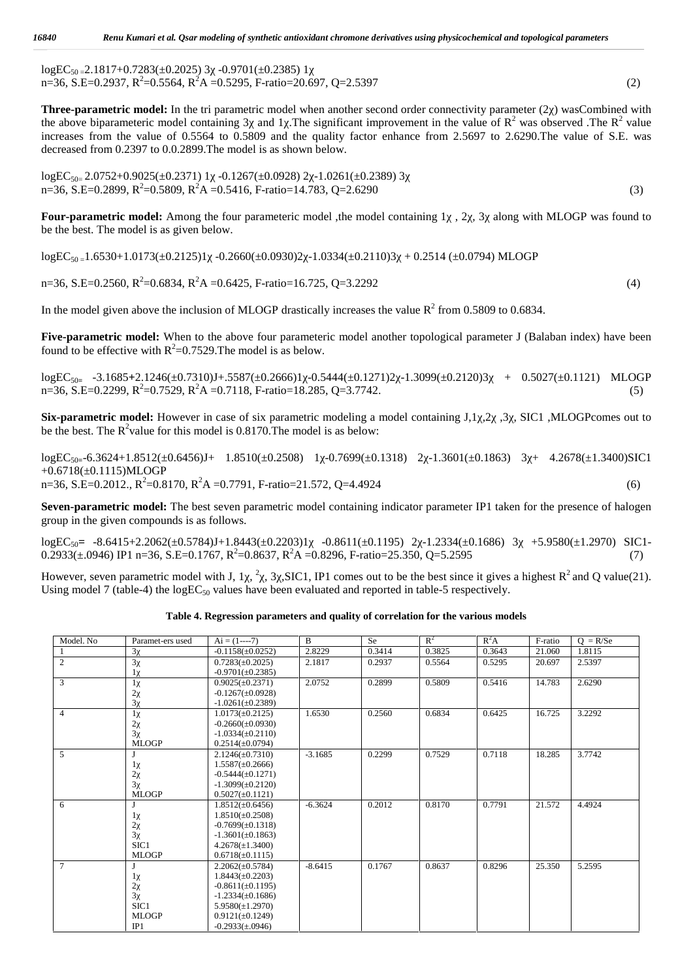$logEC_{50} = 2.1817 + 0.7283(\pm 0.2025)$  3  $-0.9701(\pm 0.2385)$  1  $n=36$ , S.E=0.2937,  $R^2=0.5564$ ,  $R^2A=0.5295$ , F-ratio=20.697, Q=2.5397 (2)

**Three-parametric model:** In the tri parametric model when another second order connectivity parameter (2) wasCombined with the above biparameteric model containing 3 and 1. The significant improvement in the value of  $R^2$  was observed .The  $R^2$  value increases from the value of 0.5564 to 0.5809 and the quality factor enhance from 2.5697 to 2.6290.The value of S.E. was decreased from 0.2397 to 0.0.2899.The model is as shown below.

 $logEC_{50-}$  2.0752+0.9025( $\pm$ 0.2371) 1 -0.1267( $\pm$ 0.0928) 2 -1.0261( $\pm$ 0.2389) 3  $n=36$ , S.E=0.2899,  $R^2=0.5809$ ,  $R^2A=0.5416$ , F-ratio=14.783, Q=2.6290 (3)

**Four-parametric model:** Among the four parameteric model, the model containing 1, 2, 3 along with MLOGP was found to be the best. The model is as given below.

 $logEC_{50} = 1.6530 + 1.0173(\pm 0.2125)1$   $-0.2660(\pm 0.0930)2$   $-1.0334(\pm 0.2110)3$   $+ 0.2514(\pm 0.0794)$  MLOGP

 $n=36$ , S.E=0.2560,  $R^2=0.6834$ ,  $R^2A=0.6425$ , F-ratio=16.725, Q=3.2292 (4)

In the model given above the inclusion of MLOGP drastically increases the value  $R^2$  from 0.5809 to 0.6834.

**Five-parametric model:** When to the above four parameteric model another topological parameter J (Balaban index) have been found to be effective with  $R^2$ =0.7529. The model is as below.

logEC<sub>50</sub> -3.1685+2.1246(±0.7310)J+.5587(±0.2666)1 -0.5444(±0.1271)2 -1.3099(±0.2120)3 + 0.5027(±0.1121) MLOGP  $n=36$ , S.E=0.2299,  $R^2=0.7529$ ,  $R^2A=0.7118$ , F-ratio=18.285, Q=3.7742. (5)

**Six-parametric model:** However in case of six parametric modeling a model containing J,1,2, 3, SIC1 ,MLOGPcomes out to be the best. The  $R^2$ value for this model is 0.8170. The model is as below:

logEC50**<sup>=</sup>**-6.3624+1.8512(±0.6456)J+ 1.8510(±0.2508) 1χ-0.7699(±0.1318) 2χ-1.3601(±0.1863) 3χ+ 4.2678(±1.3400)SIC1 +0.6718(±0.1115)MLOGP  $n=36$ , S.E=0.2012.,  $R^2=0.8170$ ,  $R^2A=0.7791$ , F-ratio=21.572, Q=4.4924 (6)

**Seven-parametric model:** The best seven parametric model containing indicator parameter IP1 taken for the presence of halogen group in the given compounds is as follows.

logEC<sub>50</sub>= -8.6415+2.2062(±0.5784)J+1.8443(±0.2203)1 -0.8611(±0.1195) 2 -1.2334(±0.1686) 3 +5.9580(±1.2970) SIC1- $0.2933(\pm .0946)$  IP1 n=36, S.E=0.1767, R<sup>2</sup>=0.8637, R<sup>2</sup>A =0.8296, F-ratio=25.350, Q=5.2595 (7)

However, seven parametric model with J, 1, <sup>2</sup>, 3, SIC1, IP1 comes out to be the best since it gives a highest  $R^2$  and Q value(21). Using model 7 (table-4) the  $logEC<sub>50</sub>$  values have been evaluated and reported in table-5 respectively.

**Table 4. Regression parameters and quality of correlation for the various models**

| Model. No      | Paramet-ers used | $Ai = (1---7)$        | $\overline{B}$ | <b>Se</b> | $R^2$  | $R^2A$ | F-ratio | $Q = R/Se$ |
|----------------|------------------|-----------------------|----------------|-----------|--------|--------|---------|------------|
| -1             | 3                | $-0.1158(\pm 0.0252)$ | 2.8229         | 0.3414    | 0.3825 | 0.3643 | 21.060  | 1.8115     |
| $\overline{c}$ | 3                | $0.7283(\pm 0.2025)$  | 2.1817         | 0.2937    | 0.5564 | 0.5295 | 20.697  | 2.5397     |
|                |                  | $-0.9701(\pm 0.2385)$ |                |           |        |        |         |            |
| 3              | 1                | $0.9025(\pm 0.2371)$  | 2.0752         | 0.2899    | 0.5809 | 0.5416 | 14.783  | 2.6290     |
|                | $\sqrt{2}$       | $-0.1267(\pm 0.0928)$ |                |           |        |        |         |            |
|                | 3                | $-1.0261(\pm 0.2389)$ |                |           |        |        |         |            |
| $\overline{4}$ | $\mathbf{1}$     | $1.0173(\pm 0.2125)$  | 1.6530         | 0.2560    | 0.6834 | 0.6425 | 16.725  | 3.2292     |
|                | $\overline{2}$   | $-0.2660(\pm 0.0930)$ |                |           |        |        |         |            |
|                | 3                | $-1.0334(\pm 0.2110)$ |                |           |        |        |         |            |
|                | <b>MLOGP</b>     | $0.2514(\pm 0.0794)$  |                |           |        |        |         |            |
| 5              |                  | $2.1246(\pm 0.7310)$  | $-3.1685$      | 0.2299    | 0.7529 | 0.7118 | 18.285  | 3.7742     |
|                |                  | $1.5587(\pm 0.2666)$  |                |           |        |        |         |            |
|                | $\overline{2}$   | $-0.5444(\pm 0.1271)$ |                |           |        |        |         |            |
|                | 3                | $-1.3099(\pm 0.2120)$ |                |           |        |        |         |            |
|                | <b>MLOGP</b>     | $0.5027(\pm 0.1121)$  |                |           |        |        |         |            |
| 6              | J                | $1.8512(\pm 0.6456)$  | $-6.3624$      | 0.2012    | 0.8170 | 0.7791 | 21.572  | 4.4924     |
|                | -1               | $1.8510(\pm 0.2508)$  |                |           |        |        |         |            |
|                | $\overline{2}$   | $-0.7699(\pm 0.1318)$ |                |           |        |        |         |            |
|                | 3                | $-1.3601(\pm 0.1863)$ |                |           |        |        |         |            |
|                | SIC1             | $4.2678(\pm 1.3400)$  |                |           |        |        |         |            |
|                | <b>MLOGP</b>     | $0.6718(\pm 0.1115)$  |                |           |        |        |         |            |
| $\overline{7}$ | J                | $2.2062(\pm 0.5784)$  | $-8.6415$      | 0.1767    | 0.8637 | 0.8296 | 25.350  | 5.2595     |
|                |                  | $1.8443(\pm 0.2203)$  |                |           |        |        |         |            |
|                | $\overline{2}$   | $-0.8611(\pm 0.1195)$ |                |           |        |        |         |            |
|                | 3                | $-1.2334(\pm 0.1686)$ |                |           |        |        |         |            |
|                | SIC1             | $5.9580(\pm 1.2970)$  |                |           |        |        |         |            |
|                | <b>MLOGP</b>     | $0.9121(\pm 0.1249)$  |                |           |        |        |         |            |
|                | IP1              | $-0.2933(\pm .0946)$  |                |           |        |        |         |            |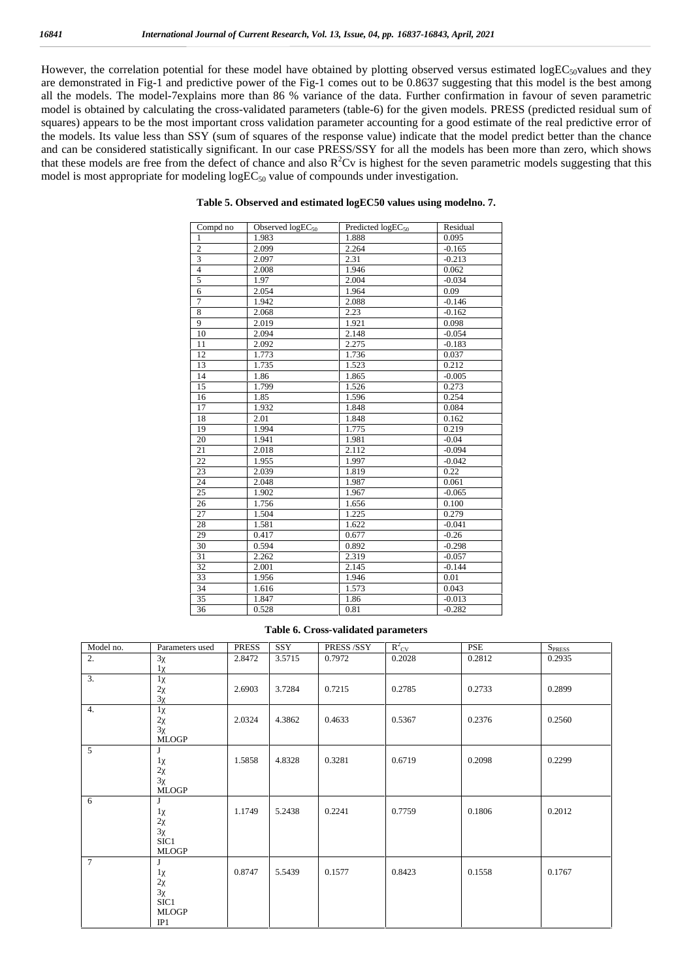However, the correlation potential for these model have obtained by plotting observed versus estimated  $logEC_{50}$ values and they are demonstrated in Fig-1 and predictive power of the Fig-1 comes out to be 0.8637 suggesting that this model is the best among all the models. The model-7explains more than 86 % variance of the data. Further confirmation in favour of seven parametric model is obtained by calculating the cross-validated parameters (table-6) for the given models. PRESS (predicted residual sum of squares) appears to be the most important cross validation parameter accounting for a good estimate of the real predictive error of the models. Its value less than SSY (sum of squares of the response value) indicate that the model predict better than the chance and can be considered statistically significant. In our case PRESS/SSY for all the models has been more than zero, which shows that these models are free from the defect of chance and also  $R^2$ Cv is highest for the seven parametric models suggesting that this model is most appropriate for modeling  $logEC_{50}$  value of compounds under investigation.

| Compd no                | Observed logEC <sub>50</sub> | Predicted logEC <sub>50</sub> | Residual |  |
|-------------------------|------------------------------|-------------------------------|----------|--|
| 1                       | 1.983                        | 1.888                         | 0.095    |  |
| $\overline{2}$          | 2.099                        | 2.264                         | $-0.165$ |  |
| $\overline{\mathbf{3}}$ | 2.097                        | 2.31                          | $-0.213$ |  |
| $\overline{4}$          | 2.008                        | 1.946                         | 0.062    |  |
| 5                       | 1.97                         | 2.004                         | $-0.034$ |  |
| 6                       | 2.054                        | 1.964                         | 0.09     |  |
| $\overline{7}$          | 1.942                        | 2.088                         | $-0.146$ |  |
| 8                       | 2.068                        | 2.23                          | $-0.162$ |  |
| 9                       | 2.019                        | 1.921                         | 0.098    |  |
| 10                      | 2.094                        | 2.148                         | $-0.054$ |  |
| 11                      | 2.092                        | 2.275                         | $-0.183$ |  |
| 12                      | 1.773                        | 1.736                         | 0.037    |  |
| 13                      | 1.735                        | 1.523                         | 0.212    |  |
| 14                      | 1.86                         | 1.865                         | $-0.005$ |  |
| 15                      | 1.799                        | 1.526                         | 0.273    |  |
| 16                      | 1.85                         | 1.596                         | 0.254    |  |
| 17                      | 1.932                        | 1.848                         | 0.084    |  |
| 18                      | 2.01                         | 1.848                         | 0.162    |  |
| 19                      | 1.994                        | 1.775                         | 0.219    |  |
| 20                      | 1.941                        | 1.981                         | $-0.04$  |  |
| 21                      | 2.018                        | 2.112                         | $-0.094$ |  |
| 22                      | 1.955                        | 1.997                         | $-0.042$ |  |
| 23                      | 2.039                        | 1.819                         | 0.22     |  |
| 24                      | 2.048                        | 1.987                         | 0.061    |  |
| 25                      | 1.902                        | 1.967                         | $-0.065$ |  |
| 26                      | 1.756                        | 1.656                         | 0.100    |  |
| 27                      | 1.504                        | 1.225                         | 0.279    |  |
| 28                      | 1.581                        | 1.622                         | $-0.041$ |  |
| 29                      | 0.417                        | 0.677                         | $-0.26$  |  |
| 30                      | 0.594                        | 0.892                         | $-0.298$ |  |
| 31                      | 2.262                        | 2.319                         | $-0.057$ |  |
| 32                      | 2.001                        | 2.145                         | $-0.144$ |  |
| 33                      | 1.956                        | 1.946                         | 0.01     |  |
| 34                      | 1.616                        | 1.573                         | 0.043    |  |
| 35                      | 1.847                        | 1.86                          | $-0.013$ |  |
| 36                      | 0.528                        | 0.81                          | $-0.282$ |  |

#### **Table 5. Observed and estimated logEC50 values using modelno. 7.**

#### **Table 6. Cross-validated parameters**

| Model no. | Parameters used                           | <b>PRESS</b> | SSY    | PRESS/SSY | $R^2_{\text{CV}}$ | PSE    | $S_{PRES}$ |
|-----------|-------------------------------------------|--------------|--------|-----------|-------------------|--------|------------|
| 2.        | 3                                         | 2.8472       | 3.5715 | 0.7972    | 0.2028            | 0.2812 | 0.2935     |
|           |                                           |              |        |           |                   |        |            |
| 3.        |                                           |              |        |           |                   |        |            |
|           | $\overline{2}$                            | 2.6903       | 3.7284 | 0.7215    | 0.2785            | 0.2733 | 0.2899     |
|           | 3                                         |              |        |           |                   |        |            |
| 4.        |                                           |              |        |           |                   |        |            |
|           | $\sqrt{2}$                                | 2.0324       | 4.3862 | 0.4633    | 0.5367            | 0.2376 | 0.2560     |
|           | 3                                         |              |        |           |                   |        |            |
|           | <b>MLOGP</b>                              |              |        |           |                   |        |            |
| 5         | J.                                        |              |        |           |                   |        |            |
|           |                                           | 1.5858       | 4.8328 | 0.3281    | 0.6719            | 0.2098 | 0.2299     |
|           | $\overline{2}$                            |              |        |           |                   |        |            |
|           | 3                                         |              |        |           |                   |        |            |
|           | <b>MLOGP</b>                              |              |        |           |                   |        |            |
| 6         | I                                         |              |        |           |                   |        |            |
|           |                                           | 1.1749       | 5.2438 | 0.2241    | 0.7759            | 0.1806 | 0.2012     |
|           | $\boldsymbol{2}$                          |              |        |           |                   |        |            |
|           | 3                                         |              |        |           |                   |        |            |
|           | SIC1                                      |              |        |           |                   |        |            |
| $\tau$    | <b>MLOGP</b>                              |              |        |           |                   |        |            |
|           | J                                         | 0.8747       | 5.5439 | 0.1577    | 0.8423            | 0.1558 | 0.1767     |
|           |                                           |              |        |           |                   |        |            |
|           | $\overline{\mathbf{c}}$<br>$\overline{3}$ |              |        |           |                   |        |            |
|           | SIC1                                      |              |        |           |                   |        |            |
|           | <b>MLOGP</b>                              |              |        |           |                   |        |            |
|           | IP1                                       |              |        |           |                   |        |            |
|           |                                           |              |        |           |                   |        |            |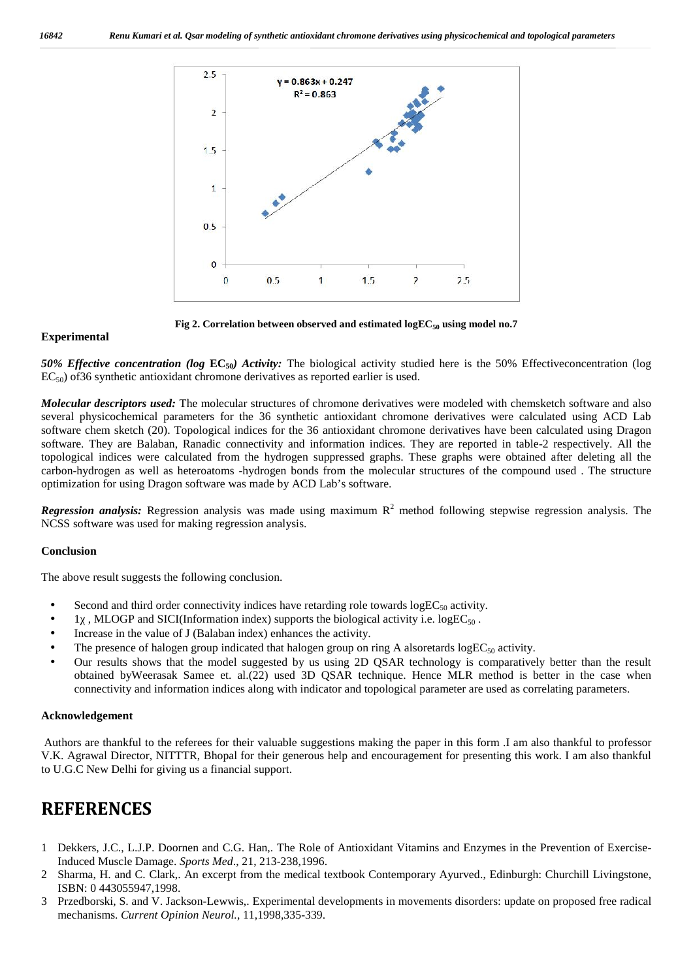

**Fig 2. Correlation between observed and estimated logEC<sup>50</sup> using model no.7**

## **Experimental**

*50% Effective concentration (log* **EC50***) Activity:* The biological activity studied here is the 50% Effectiveconcentration (log EC<sub>50</sub>) of 36 synthetic antioxidant chromone derivatives as reported earlier is used.

*Molecular descriptors used:* The molecular structures of chromone derivatives were modeled with chemsketch software and also several physicochemical parameters for the 36 synthetic antioxidant chromone derivatives were calculated using ACD Lab software chem sketch (20). Topological indices for the 36 antioxidant chromone derivatives have been calculated using Dragon software. They are Balaban, Ranadic connectivity and information indices. They are reported in table-2 respectively. All the topological indices were calculated from the hydrogen suppressed graphs. These graphs were obtained after deleting all the carbon-hydrogen as well as heteroatoms -hydrogen bonds from the molecular structures of the compound used . The structure optimization for using Dragon software was made by ACD Lab's software.

*Regression analysis:* Regression analysis was made using maximum  $R^2$  method following stepwise regression analysis. The NCSS software was used for making regression analysis.

## **Conclusion**

The above result suggests the following conclusion.

- Second and third order connectivity indices have retarding role towards  $logEC_{50}$  activity.
- 1, MLOGP and SICI(Information index) supports the biological activity i.e. logEC<sub>50</sub>.
- Increase in the value of J (Balaban index) enhances the activity.
- The presence of halogen group indicated that halogen group on ring A alsoretards log $EC_{50}$  activity.
- Our results shows that the model suggested by us using 2D QSAR technology is comparatively better than the result obtained byWeerasak Samee et. al.(22) used 3D QSAR technique. Hence MLR method is better in the case when connectivity and information indices along with indicator and topological parameter are used as correlating parameters.

## **Acknowledgement**

Authors are thankful to the referees for their valuable suggestions making the paper in this form .I am also thankful to professor V.K. Agrawal Director, NITTTR, Bhopal for their generous help and encouragement for presenting this work. I am also thankful to U.G.C New Delhi for giving us a financial support.

# **REFERENCES**

- 1 Dekkers, J.C., L.J.P. Doornen and C.G. Han,. The Role of Antioxidant Vitamins and Enzymes in the Prevention of Exercise-Induced Muscle Damage. *Sports Med*., 21, 213-238,1996.
- 2 Sharma, H. and C. Clark,. An excerpt from the medical textbook Contemporary Ayurved., Edinburgh: Churchill Livingstone, ISBN: 0 443055947,1998.
- 3 Przedborski, S. and V. Jackson-Lewwis,. Experimental developments in movements disorders: update on proposed free radical mechanisms. *Current Opinion Neurol.,* 11,1998,335-339.